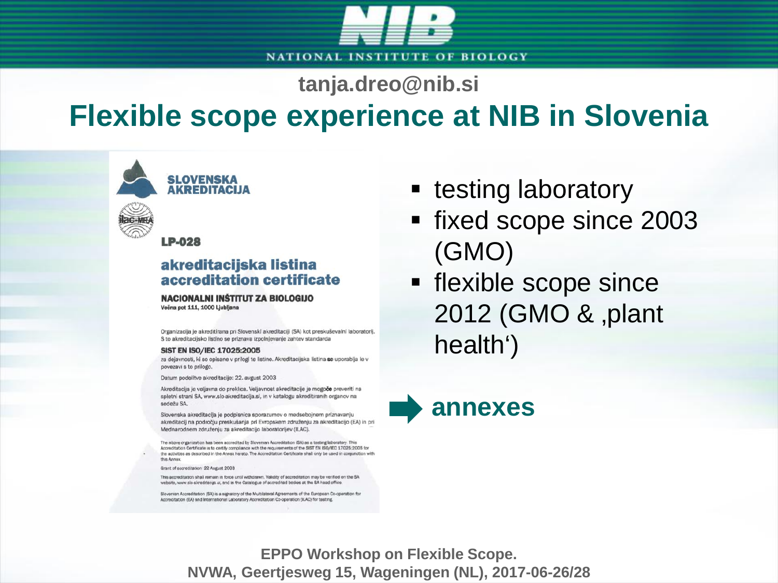

**tanja.dreo@nib.si**

#### **Flexible scope experience at NIB in Slovenia**

**LP-028** 

**SLOVENSKA AKREDITACIJA** 

#### akreditacijska listina accreditation certificate

#### **NACIONALNI INSTITUT ZA BIOLOGIJO** Večna pot 111, 1000 Ljubljana

Organizacija je akreditirana pri Slovenski akreditaciji (SA) kot preskuševalni laboratorij. S to akreditacijsko listino se priznava izpolnjevanje zahtev standarda

#### SIST EN ISO/IEC 17025:2005

za dejavnosti, ki so opisane v prilogi te listine. Akreditacijska listina se uporablja le v povezavi s to prilogo.

Datum podelitve akreditacije: 22. avgust 2003

Akreditacija je veljavna do preklica. Veljavnost akreditacije je mogoče preveriti na spletni strani SA, www.slo-akreditacija.si, in v katalogu akreditiranih organov na sedežu SA.

Slovenska akreditacija je podpisnica sporazumov o medsebojnem priznavanju akreditacij na področju preskušanja pri Evropskem združenju za akreditacijo (EA) in pri Mednarodnem združenju za akreditacijo laboratorijev (ILAC).

The above organization has been accredited by Slovenian Accreditation (SA) as a testing laboratory. This Accreditation Certificate is to certify compliance with the requirements of the SIST EN ISO/IEC 17025:2005 for the activities as described in the Annex hereto. The Accreditation Certificate shall only be used in conjunction with this Annex.

Grant of accreditation 22 August 2003

This accreditation shall remain in force until withdrawn. Validity of accreditation may be verified on the SA website, www.slo-skreditecia al. and in the Catalogue of accredited bodies at the SA head office.

Slovenian Accreditation (SA) is a signatory of the Multilateral Agreements of the European Co-operation for Accreditation (EA) and International Laboratory Accreditation Co-operation (ILAC) for testing.

- testing laboratory
- fixed scope since 2003 (GMO)
- **flexible scope since** 2012 (GMO & ,plant health')



**EPPO Workshop on Flexible Scope. NVWA, Geertjesweg 15, Wageningen (NL), 2017-06-26/28**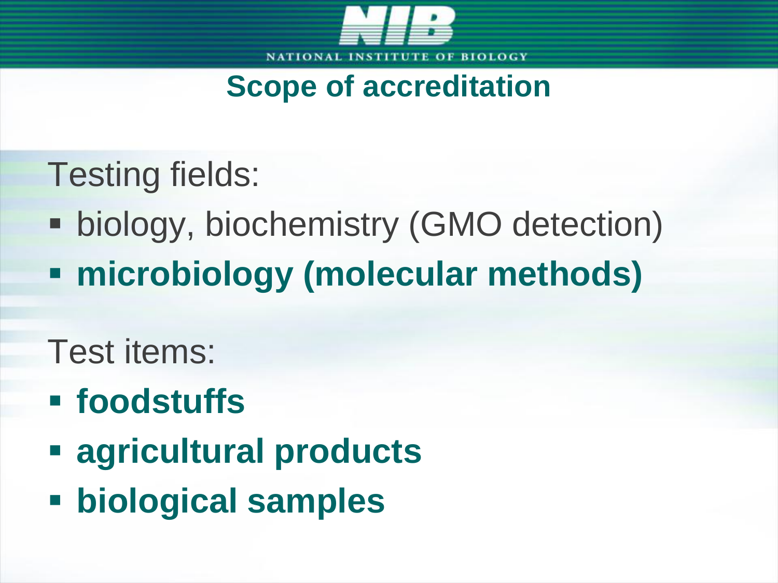

### **Scope of accreditation**

- Testing fields:
- **biology, biochemistry (GMO detection)**
- **microbiology (molecular methods)**
- Test items:
- **foodstuffs**
- **agricultural products**
- **biological samples**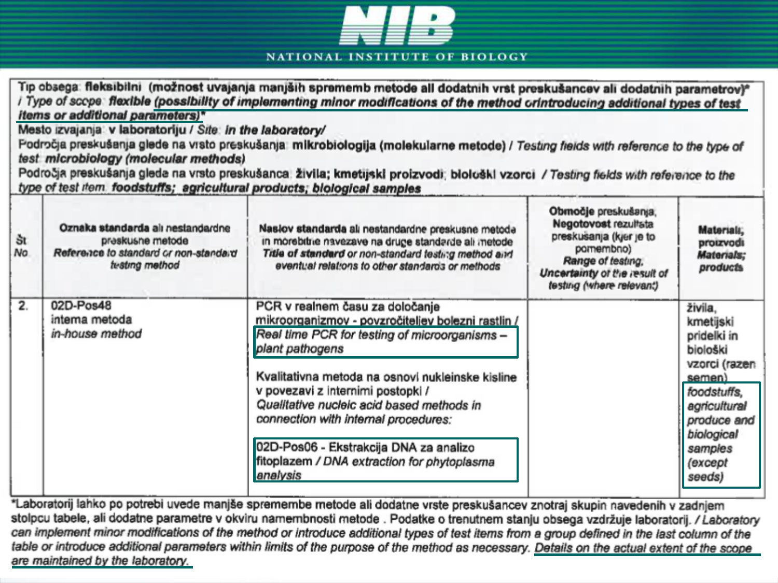

**NATIONAL INSTITUTE OF BIOLOGY** 

|                  | items or additional parameters)*<br>Mesto izvajanja: v laboratoriju / Site: in the laboratory/<br>test microbiology (molecular methods)<br>type of test item foodstuffs; agricultural products; biological samples                                                                                                                          | Tip obsega: fleksibilni (možnost uvajanja manjših sprememb metode all dodatnih vrst preskušancev ali dodatnih parametrov)*<br>Type of scope flexible (possibility of implementing minor modifications of the method orintroducing additional types of test<br>Področja preskušanja glede na vrsto preskušanja mikrobiologija (molekularne metode) / Testing fields with reference to the type of<br>Področja preskušanja gleda na vrsto preskušanca živila; kmetijski proizvodi; biološki vzorci / Testing fields with reference to the |                                                                                                                                                                       |                                                                                                                                                                        |
|------------------|---------------------------------------------------------------------------------------------------------------------------------------------------------------------------------------------------------------------------------------------------------------------------------------------------------------------------------------------|-----------------------------------------------------------------------------------------------------------------------------------------------------------------------------------------------------------------------------------------------------------------------------------------------------------------------------------------------------------------------------------------------------------------------------------------------------------------------------------------------------------------------------------------|-----------------------------------------------------------------------------------------------------------------------------------------------------------------------|------------------------------------------------------------------------------------------------------------------------------------------------------------------------|
| št<br>No.        | Oznaka standarda alı nestandardne<br>Naslov standarda ali nestandardne preskusne metode<br>in morebitrie navezave na druge standarde ali inetode<br>preskusne metode<br>Reference to standard or non-standard<br>Title of standard or non-standard testing method and<br>testing method<br>eventual relations to other standards or methods |                                                                                                                                                                                                                                                                                                                                                                                                                                                                                                                                         | Območje preskušanja,<br>Negotovost rezultata<br>preskusanja (kjer je to<br>pamembno)<br>Range of testing,<br>Uncertainty of the result of<br>testing (where relevant) | Materiali,<br>proizvodi<br>Materials;<br>products                                                                                                                      |
| $\overline{2}$ . | 02D-Pos48<br>interna metoda<br>in-house method                                                                                                                                                                                                                                                                                              | PCR v realnem času za določanje<br>mikroorganizmov - povzročiteljev bolezni rastlin /<br>Real time PCR for testing of microorganisms -<br>plant pathogens<br>Kvalitativna metoda na osnovi nukleinske kisline<br>v povezavi z internimi postopki /<br>Qualitative nucleic acid based methods in<br>connection with internal procedures:<br>02D-Pos06 - Ekstrakcija DNA za analizo<br>fitoplazem / DNA extraction for phytoplasma<br>analysis                                                                                            |                                                                                                                                                                       | živila,<br>kmetijski<br>pridelki in<br>biološki<br>vzorci (razen<br>semen)<br>foodstuffs,<br>agricultural<br>produce and<br>biological<br>samples<br>(except<br>seeds) |

\*Laboratorij lahko po potrebi uvede manjše spremembe metode ali dodatne vrste preskušancev znotraj skupin navedenih v zadnjem stolpcu tabele, ali dodatne parametre v okviru namembnosti metode . Podatke o trenutnem stanju obsega vzdržuje laboratorij. / Laboratory can implement minor modifications of the method or introduce additional types of test items from a group defined in the last column of the table or introduce additional parameters within limits of the purpose of the method as necessary. Details on the actual extent of the scope are maintained by the laboratory.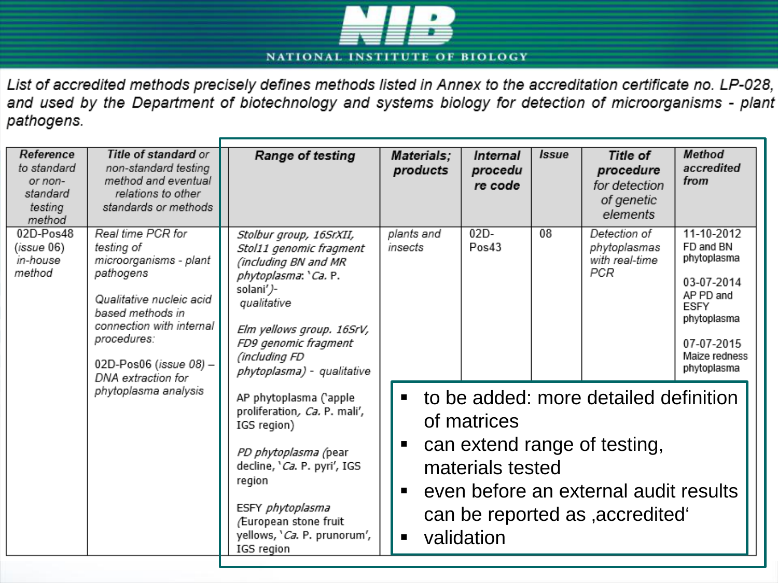

List of accredited methods precisely defines methods listed in Annex to the accreditation certificate no. LP-028, and used by the Department of biotechnology and systems biology for detection of microorganisms - plant pathogens.

| Reference<br>to standard<br>or non-<br>standard<br>testing<br>method | Title of standard or<br>non-standard testing<br>method and eventual<br>relations to other<br>standards or methods                                                                                                                         | Range of testing                                                                                                                                                                                                                   | Materials;<br>products                                                                                                                                                                                                           | Internal<br>procedu<br>re code | <i><b>Issue</b></i> | Title of<br>procedure<br>for detection<br>of genetic<br>elements | Method<br>accredited<br>from                                                                                                           |
|----------------------------------------------------------------------|-------------------------------------------------------------------------------------------------------------------------------------------------------------------------------------------------------------------------------------------|------------------------------------------------------------------------------------------------------------------------------------------------------------------------------------------------------------------------------------|----------------------------------------------------------------------------------------------------------------------------------------------------------------------------------------------------------------------------------|--------------------------------|---------------------|------------------------------------------------------------------|----------------------------------------------------------------------------------------------------------------------------------------|
| $02D-Pos48$<br>(issue 06)<br>in-house<br>method                      | Real time PCR for<br>testing of<br>microorganisms - plant<br>pathogens<br>Qualitative nucleic acid<br>based methods in<br>connection with internal<br>procedures:<br>02D-Pos06 (issue 08) -<br>DNA extraction for<br>phytoplasma analysis | Stolbur group, 16SrXII,<br>Stol11 genomic fragment<br>(including BN and MR<br>phytoplasma: 'Ca. P.<br>solani')-<br>qualitative<br>Elm yellows group. 16SrV,<br>FD9 genomic fragment<br>(including FD<br>phytoplasma) - qualitative | plants and<br>insects                                                                                                                                                                                                            | $02D -$<br>Pos43               | 08                  | Detection of<br>phytoplasmas<br>with real-time<br>PCR            | 11-10-2012<br>FD and BN<br>phytoplasma<br>03-07-2014<br>AP PD and<br>ESFY<br>phytoplasma<br>07-07-2015<br>Maize redness<br>phytoplasma |
|                                                                      |                                                                                                                                                                                                                                           | AP phytoplasma ('apple<br>proliferation, Ca. P. mali',<br>IGS region)<br>PD phytoplasma (pear<br>decline, 'Ca. P. pyri', IGS<br>region<br>ESFY phytoplasma<br>/European stone fruit<br>yellows, 'Ca. P. prunorum',<br>IGS region   | • to be added: more detailed definition<br>of matrices<br>can extend range of testing,<br>п<br>materials tested<br>even before an external audit results<br>п<br>can be reported as , accredited<br>validation<br>$\blacksquare$ |                                |                     |                                                                  |                                                                                                                                        |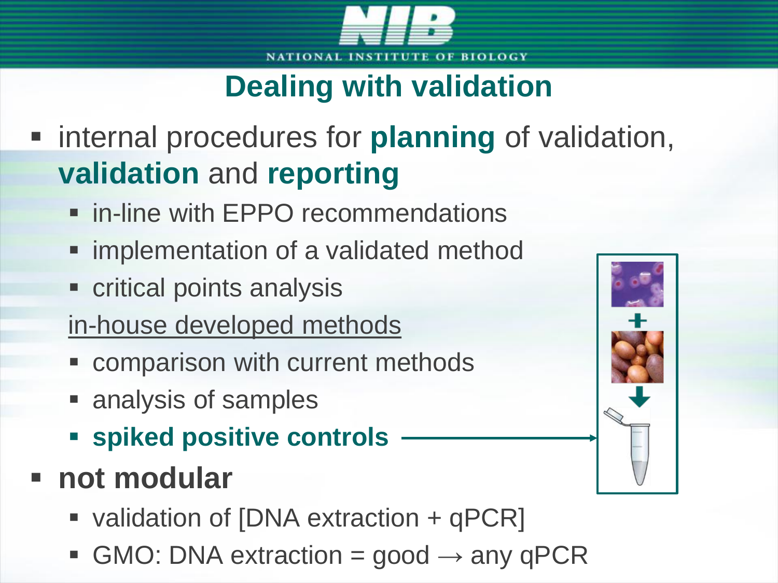

## **Dealing with validation**

- **Example 1** internal procedures for **planning** of validation, **validation** and **reporting**
	- **F** in-line with EPPO recommendations
	- **F** implementation of a validated method
	- **Exercitical points analysis**
	- in-house developed methods
	- comparison with current methods
	- analysis of samples
	- **spiked positive controls**
- **not modular**
	- validation of [DNA extraction + qPCR]
	- GMO: DNA extraction = good  $\rightarrow$  any qPCR

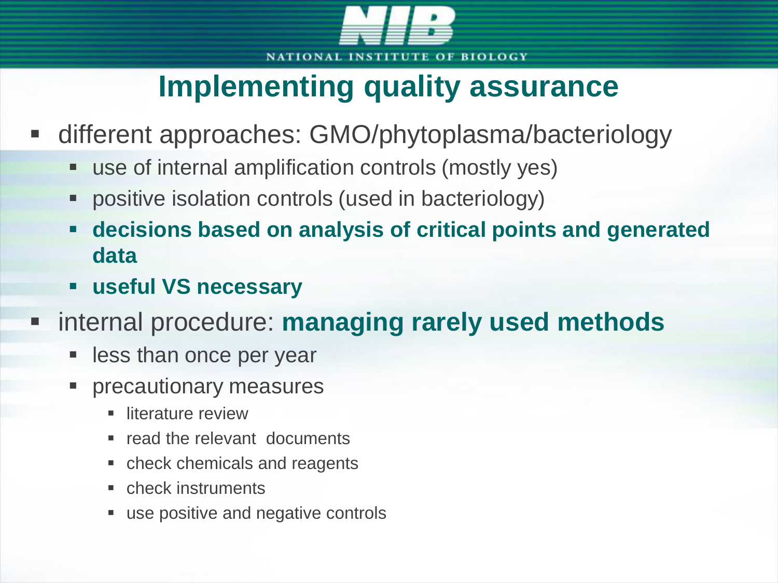

## **Implementing quality assurance**

- different approaches: GMO/phytoplasma/bacteriology
	- use of internal amplification controls (mostly yes)
	- positive isolation controls (used in bacteriology)
	- **decisions based on analysis of critical points and generated data**
	- **useful VS necessary**
- internal procedure: **managing rarely used methods**
	- less than once per year
	- precautionary measures
		- **I** literature review
		- read the relevant documents
		- check chemicals and reagents
		- check instruments
		- use positive and negative controls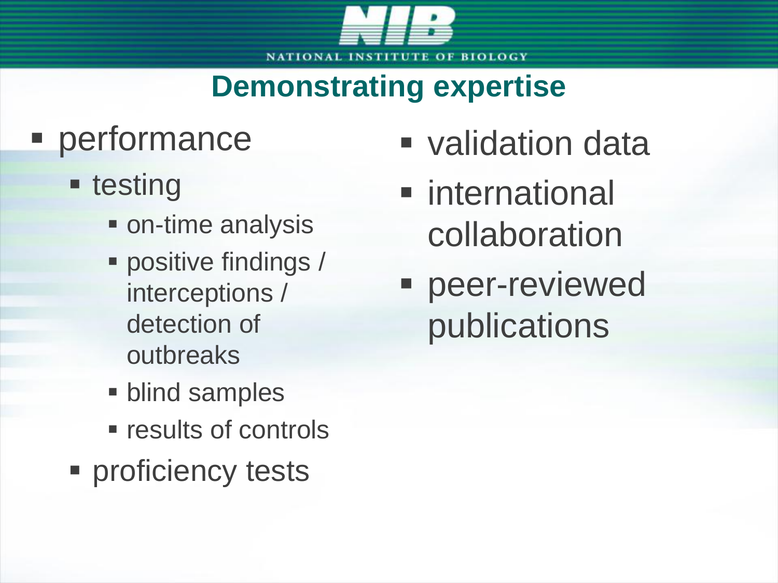

## **Demonstrating expertise**

# **Performance**

- **E** testing
	- on-time analysis
	- **positive findings /** interceptions / detection of outbreaks
	- **blind samples**
	- **Figure 1 results of controls**
- **Proficiency tests**
- validation data
- **n** international collaboration
- peer-reviewed publications